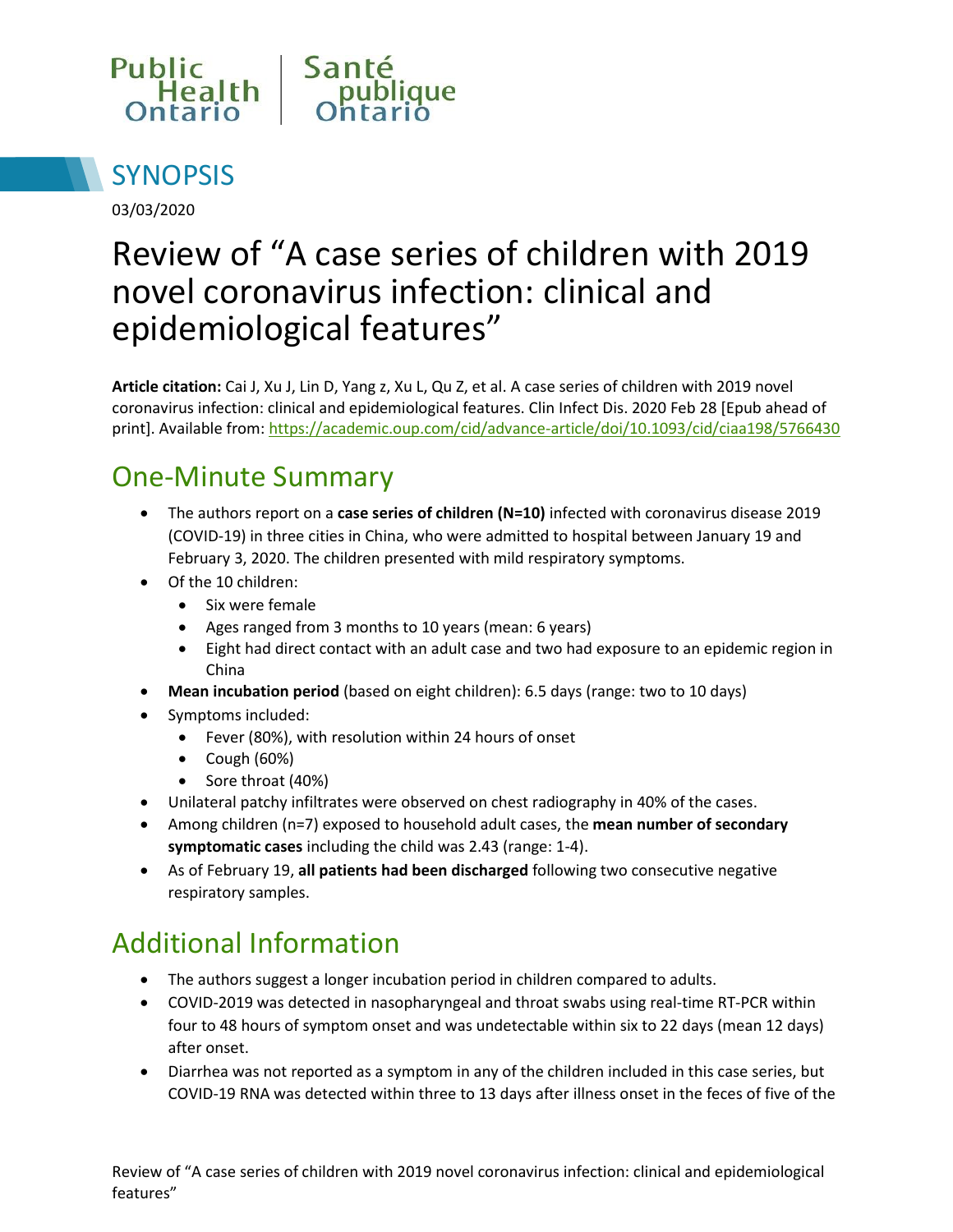



03/03/2020

# Review of "A case series of children with 2019 novel coronavirus infection: clinical and epidemiological features"

**Article citation:** Cai J, Xu J, Lin D, Yang z, Xu L, Qu Z, et al. A case series of children with 2019 novel coronavirus infection: clinical and epidemiological features. Clin Infect Dis. 2020 Feb 28 [Epub ahead of print]. Available from[: https://academic.oup.com/cid/advance-article/doi/10.1093/cid/ciaa198/5766430](https://academic.oup.com/cid/advance-article/doi/10.1093/cid/ciaa198/5766430)

## One-Minute Summary

- The authors report on a **case series of children (N=10)** infected with coronavirus disease 2019 (COVID-19) in three cities in China, who were admitted to hospital between January 19 and February 3, 2020. The children presented with mild respiratory symptoms.
- Of the 10 children:
	- Six were female
	- Ages ranged from 3 months to 10 years (mean: 6 years)
	- Eight had direct contact with an adult case and two had exposure to an epidemic region in China
- **Mean incubation period** (based on eight children): 6.5 days (range: two to 10 days)
- Symptoms included:
	- Fever (80%), with resolution within 24 hours of onset
	- $\bullet$  Cough (60%)
	- Sore throat (40%)
- Unilateral patchy infiltrates were observed on chest radiography in 40% of the cases.
- Among children (n=7) exposed to household adult cases, the **mean number of secondary symptomatic cases** including the child was 2.43 (range: 1-4).
- As of February 19, **all patients had been discharged** following two consecutive negative respiratory samples.

# Additional Information

- The authors suggest a longer incubation period in children compared to adults.
- COVID-2019 was detected in nasopharyngeal and throat swabs using real-time RT-PCR within four to 48 hours of symptom onset and was undetectable within six to 22 days (mean 12 days) after onset.
- Diarrhea was not reported as a symptom in any of the children included in this case series, but COVID-19 RNA was detected within three to 13 days after illness onset in the feces of five of the

Review of "A case series of children with 2019 novel coronavirus infection: clinical and epidemiological features"